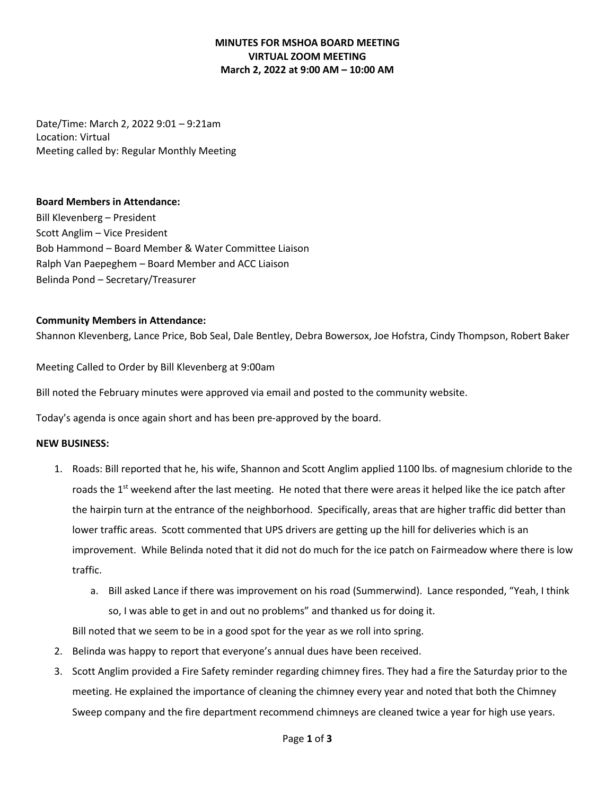# **MINUTES FOR MSHOA BOARD MEETING VIRTUAL ZOOM MEETING March 2, 2022 at 9:00 AM – 10:00 AM**

Date/Time: March 2, 2022 9:01 – 9:21am Location: Virtual Meeting called by: Regular Monthly Meeting

### **Board Members in Attendance:**

Bill Klevenberg – President Scott Anglim – Vice President Bob Hammond – Board Member & Water Committee Liaison Ralph Van Paepeghem – Board Member and ACC Liaison Belinda Pond – Secretary/Treasurer

### **Community Members in Attendance:**

Shannon Klevenberg, Lance Price, Bob Seal, Dale Bentley, Debra Bowersox, Joe Hofstra, Cindy Thompson, Robert Baker

Meeting Called to Order by Bill Klevenberg at 9:00am

Bill noted the February minutes were approved via email and posted to the community website.

Today's agenda is once again short and has been pre-approved by the board.

#### **NEW BUSINESS:**

- 1. Roads: Bill reported that he, his wife, Shannon and Scott Anglim applied 1100 lbs. of magnesium chloride to the roads the 1<sup>st</sup> weekend after the last meeting. He noted that there were areas it helped like the ice patch after the hairpin turn at the entrance of the neighborhood. Specifically, areas that are higher traffic did better than lower traffic areas. Scott commented that UPS drivers are getting up the hill for deliveries which is an improvement. While Belinda noted that it did not do much for the ice patch on Fairmeadow where there is low traffic.
	- a. Bill asked Lance if there was improvement on his road (Summerwind). Lance responded, "Yeah, I think so, I was able to get in and out no problems" and thanked us for doing it.

Bill noted that we seem to be in a good spot for the year as we roll into spring.

- 2. Belinda was happy to report that everyone's annual dues have been received.
- 3. Scott Anglim provided a Fire Safety reminder regarding chimney fires. They had a fire the Saturday prior to the meeting. He explained the importance of cleaning the chimney every year and noted that both the Chimney Sweep company and the fire department recommend chimneys are cleaned twice a year for high use years.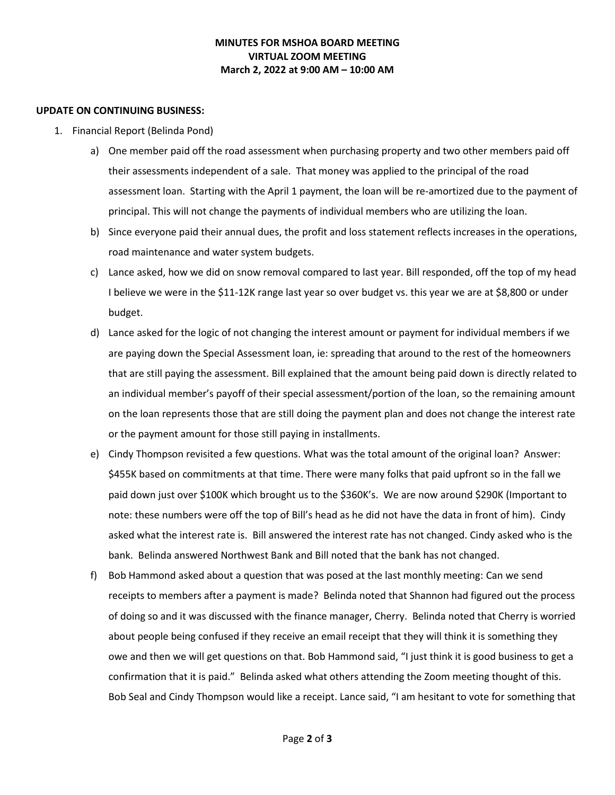## **MINUTES FOR MSHOA BOARD MEETING VIRTUAL ZOOM MEETING March 2, 2022 at 9:00 AM – 10:00 AM**

#### **UPDATE ON CONTINUING BUSINESS:**

- 1. Financial Report (Belinda Pond)
	- a) One member paid off the road assessment when purchasing property and two other members paid off their assessments independent of a sale. That money was applied to the principal of the road assessment loan. Starting with the April 1 payment, the loan will be re-amortized due to the payment of principal. This will not change the payments of individual members who are utilizing the loan.
	- b) Since everyone paid their annual dues, the profit and loss statement reflects increases in the operations, road maintenance and water system budgets.
	- c) Lance asked, how we did on snow removal compared to last year. Bill responded, off the top of my head I believe we were in the \$11-12K range last year so over budget vs. this year we are at \$8,800 or under budget.
	- d) Lance asked for the logic of not changing the interest amount or payment for individual members if we are paying down the Special Assessment loan, ie: spreading that around to the rest of the homeowners that are still paying the assessment. Bill explained that the amount being paid down is directly related to an individual member's payoff of their special assessment/portion of the loan, so the remaining amount on the loan represents those that are still doing the payment plan and does not change the interest rate or the payment amount for those still paying in installments.
	- e) Cindy Thompson revisited a few questions. What was the total amount of the original loan? Answer: \$455K based on commitments at that time. There were many folks that paid upfront so in the fall we paid down just over \$100K which brought us to the \$360K's. We are now around \$290K (Important to note: these numbers were off the top of Bill's head as he did not have the data in front of him). Cindy asked what the interest rate is. Bill answered the interest rate has not changed. Cindy asked who is the bank. Belinda answered Northwest Bank and Bill noted that the bank has not changed.
	- f) Bob Hammond asked about a question that was posed at the last monthly meeting: Can we send receipts to members after a payment is made? Belinda noted that Shannon had figured out the process of doing so and it was discussed with the finance manager, Cherry. Belinda noted that Cherry is worried about people being confused if they receive an email receipt that they will think it is something they owe and then we will get questions on that. Bob Hammond said, "I just think it is good business to get a confirmation that it is paid." Belinda asked what others attending the Zoom meeting thought of this. Bob Seal and Cindy Thompson would like a receipt. Lance said, "I am hesitant to vote for something that